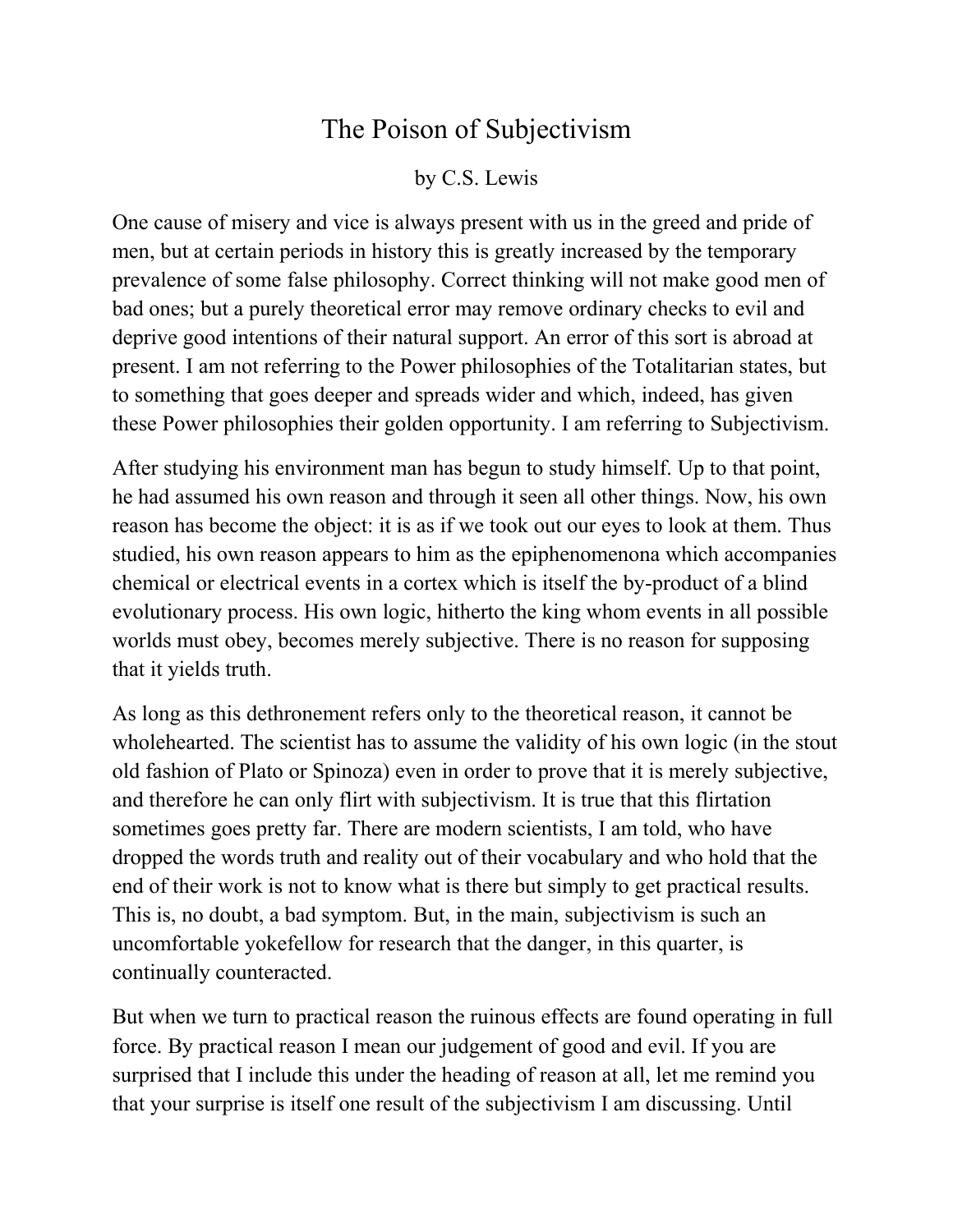## The Poison of Subjectivism

by C.S. Lewis

One cause of misery and vice is always present with us in the greed and pride of men, but at certain periods in history this is greatly increased by the temporary prevalence of some false philosophy. Correct thinking will not make good men of bad ones; but a purely theoretical error may remove ordinary checks to evil and deprive good intentions of their natural support. An error of this sort is abroad at present. I am not referring to the Power philosophies of the Totalitarian states, but to something that goes deeper and spreads wider and which, indeed, has given these Power philosophies their golden opportunity. I am referring to Subjectivism.

After studying his environment man has begun to study himself. Up to that point, he had assumed his own reason and through it seen all other things. Now, his own reason has become the object: it is as if we took out our eyes to look at them. Thus studied, his own reason appears to him as the epiphenomenona which accompanies chemical or electrical events in a cortex which is itself the by-product of a blind evolutionary process. His own logic, hitherto the king whom events in all possible worlds must obey, becomes merely subjective. There is no reason for supposing that it yields truth.

As long as this dethronement refers only to the theoretical reason, it cannot be wholehearted. The scientist has to assume the validity of his own logic (in the stout old fashion of Plato or Spinoza) even in order to prove that it is merely subjective, and therefore he can only flirt with subjectivism. It is true that this flirtation sometimes goes pretty far. There are modern scientists, I am told, who have dropped the words truth and reality out of their vocabulary and who hold that the end of their work is not to know what is there but simply to get practical results. This is, no doubt, a bad symptom. But, in the main, subjectivism is such an uncomfortable yokefellow for research that the danger, in this quarter, is continually counteracted.

But when we turn to practical reason the ruinous effects are found operating in full force. By practical reason I mean our judgement of good and evil. If you are surprised that I include this under the heading of reason at all, let me remind you that your surprise is itself one result of the subjectivism I am discussing. Until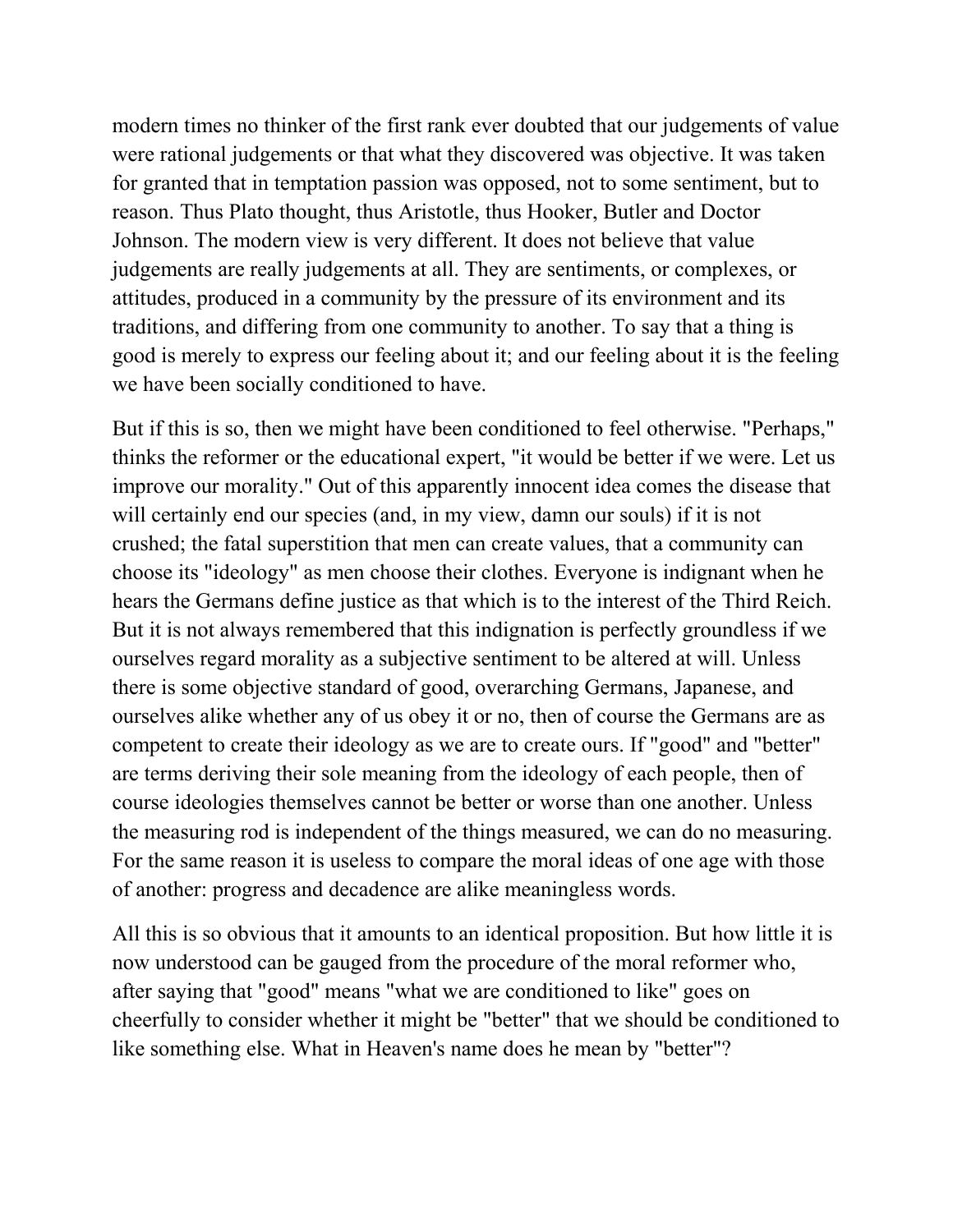modern times no thinker of the first rank ever doubted that our judgements of value were rational judgements or that what they discovered was objective. It was taken for granted that in temptation passion was opposed, not to some sentiment, but to reason. Thus Plato thought, thus Aristotle, thus Hooker, Butler and Doctor Johnson. The modern view is very different. It does not believe that value judgements are really judgements at all. They are sentiments, or complexes, or attitudes, produced in a community by the pressure of its environment and its traditions, and differing from one community to another. To say that a thing is good is merely to express our feeling about it; and our feeling about it is the feeling we have been socially conditioned to have.

But if this is so, then we might have been conditioned to feel otherwise. "Perhaps," thinks the reformer or the educational expert, "it would be better if we were. Let us improve our morality." Out of this apparently innocent idea comes the disease that will certainly end our species (and, in my view, damn our souls) if it is not crushed; the fatal superstition that men can create values, that a community can choose its "ideology" as men choose their clothes. Everyone is indignant when he hears the Germans define justice as that which is to the interest of the Third Reich. But it is not always remembered that this indignation is perfectly groundless if we ourselves regard morality as a subjective sentiment to be altered at will. Unless there is some objective standard of good, overarching Germans, Japanese, and ourselves alike whether any of us obey it or no, then of course the Germans are as competent to create their ideology as we are to create ours. If "good" and "better" are terms deriving their sole meaning from the ideology of each people, then of course ideologies themselves cannot be better or worse than one another. Unless the measuring rod is independent of the things measured, we can do no measuring. For the same reason it is useless to compare the moral ideas of one age with those of another: progress and decadence are alike meaningless words.

All this is so obvious that it amounts to an identical proposition. But how little it is now understood can be gauged from the procedure of the moral reformer who, after saying that "good" means "what we are conditioned to like" goes on cheerfully to consider whether it might be "better" that we should be conditioned to like something else. What in Heaven's name does he mean by "better"?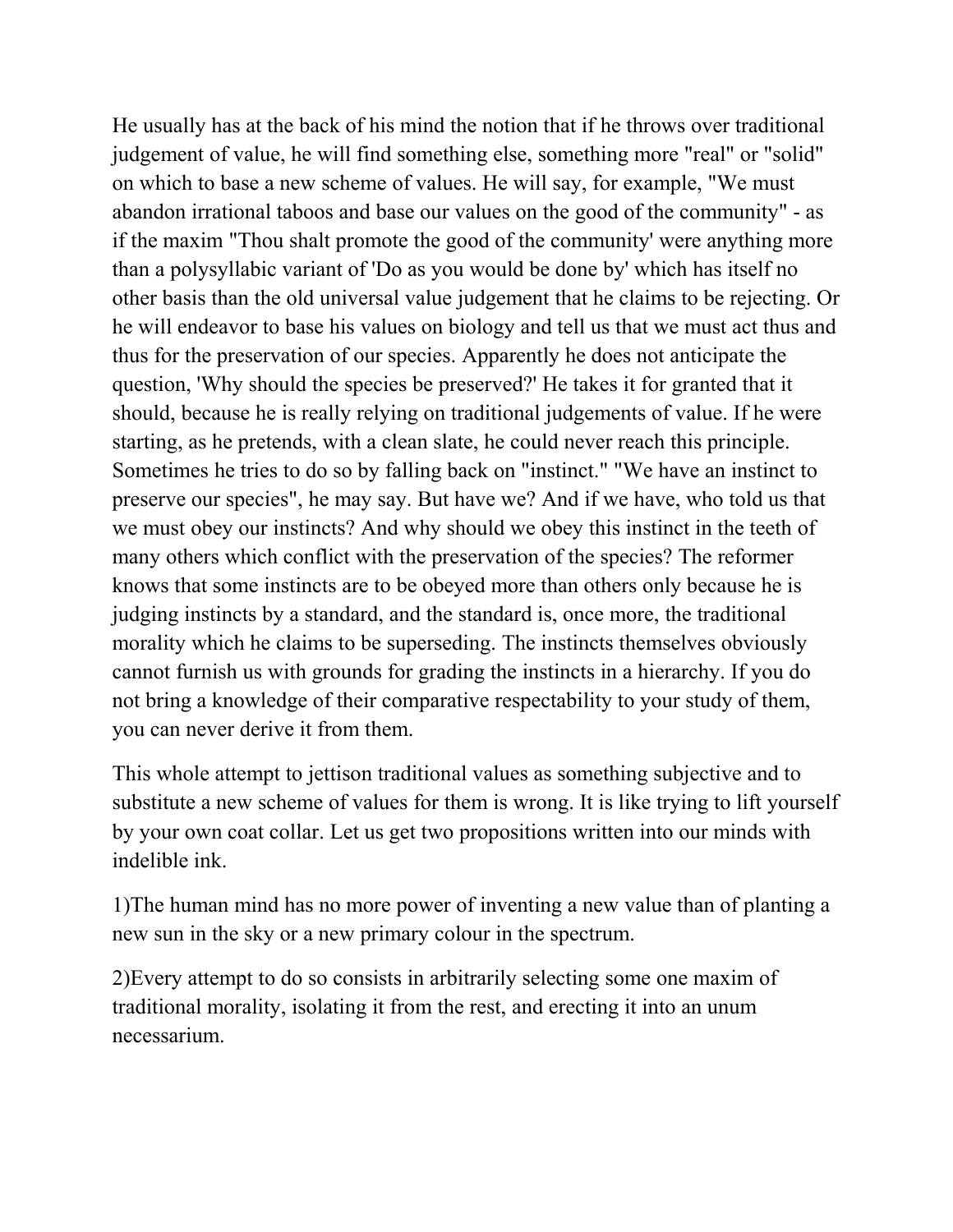He usually has at the back of his mind the notion that if he throws over traditional judgement of value, he will find something else, something more "real" or "solid" on which to base a new scheme of values. He will say, for example, "We must abandon irrational taboos and base our values on the good of the community" - as if the maxim "Thou shalt promote the good of the community' were anything more than a polysyllabic variant of 'Do as you would be done by' which has itself no other basis than the old universal value judgement that he claims to be rejecting. Or he will endeavor to base his values on biology and tell us that we must act thus and thus for the preservation of our species. Apparently he does not anticipate the question, 'Why should the species be preserved?' He takes it for granted that it should, because he is really relying on traditional judgements of value. If he were starting, as he pretends, with a clean slate, he could never reach this principle. Sometimes he tries to do so by falling back on "instinct." "We have an instinct to preserve our species", he may say. But have we? And if we have, who told us that we must obey our instincts? And why should we obey this instinct in the teeth of many others which conflict with the preservation of the species? The reformer knows that some instincts are to be obeyed more than others only because he is judging instincts by a standard, and the standard is, once more, the traditional morality which he claims to be superseding. The instincts themselves obviously cannot furnish us with grounds for grading the instincts in a hierarchy. If you do not bring a knowledge of their comparative respectability to your study of them, you can never derive it from them.

This whole attempt to jettison traditional values as something subjective and to substitute a new scheme of values for them is wrong. It is like trying to lift yourself by your own coat collar. Let us get two propositions written into our minds with indelible ink.

1)The human mind has no more power of inventing a new value than of planting a new sun in the sky or a new primary colour in the spectrum.

2)Every attempt to do so consists in arbitrarily selecting some one maxim of traditional morality, isolating it from the rest, and erecting it into an unum necessarium.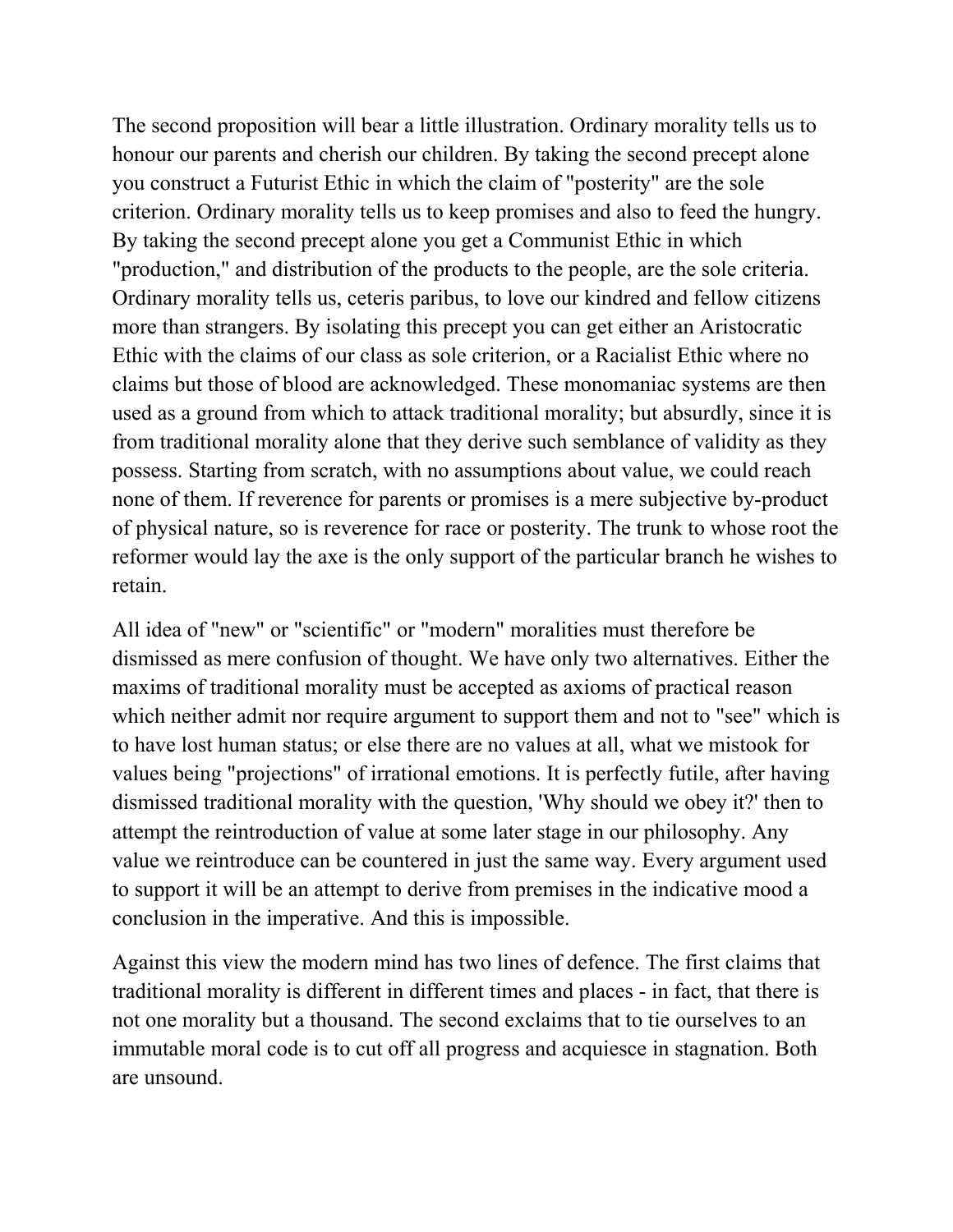The second proposition will bear a little illustration. Ordinary morality tells us to honour our parents and cherish our children. By taking the second precept alone you construct a Futurist Ethic in which the claim of "posterity" are the sole criterion. Ordinary morality tells us to keep promises and also to feed the hungry. By taking the second precept alone you get a Communist Ethic in which "production," and distribution of the products to the people, are the sole criteria. Ordinary morality tells us, ceteris paribus, to love our kindred and fellow citizens more than strangers. By isolating this precept you can get either an Aristocratic Ethic with the claims of our class as sole criterion, or a Racialist Ethic where no claims but those of blood are acknowledged. These monomaniac systems are then used as a ground from which to attack traditional morality; but absurdly, since it is from traditional morality alone that they derive such semblance of validity as they possess. Starting from scratch, with no assumptions about value, we could reach none of them. If reverence for parents or promises is a mere subjective by-product of physical nature, so is reverence for race or posterity. The trunk to whose root the reformer would lay the axe is the only support of the particular branch he wishes to retain.

All idea of "new" or "scientific" or "modern" moralities must therefore be dismissed as mere confusion of thought. We have only two alternatives. Either the maxims of traditional morality must be accepted as axioms of practical reason which neither admit nor require argument to support them and not to "see" which is to have lost human status; or else there are no values at all, what we mistook for values being "projections" of irrational emotions. It is perfectly futile, after having dismissed traditional morality with the question, 'Why should we obey it?' then to attempt the reintroduction of value at some later stage in our philosophy. Any value we reintroduce can be countered in just the same way. Every argument used to support it will be an attempt to derive from premises in the indicative mood a conclusion in the imperative. And this is impossible.

Against this view the modern mind has two lines of defence. The first claims that traditional morality is different in different times and places - in fact, that there is not one morality but a thousand. The second exclaims that to tie ourselves to an immutable moral code is to cut off all progress and acquiesce in stagnation. Both are unsound.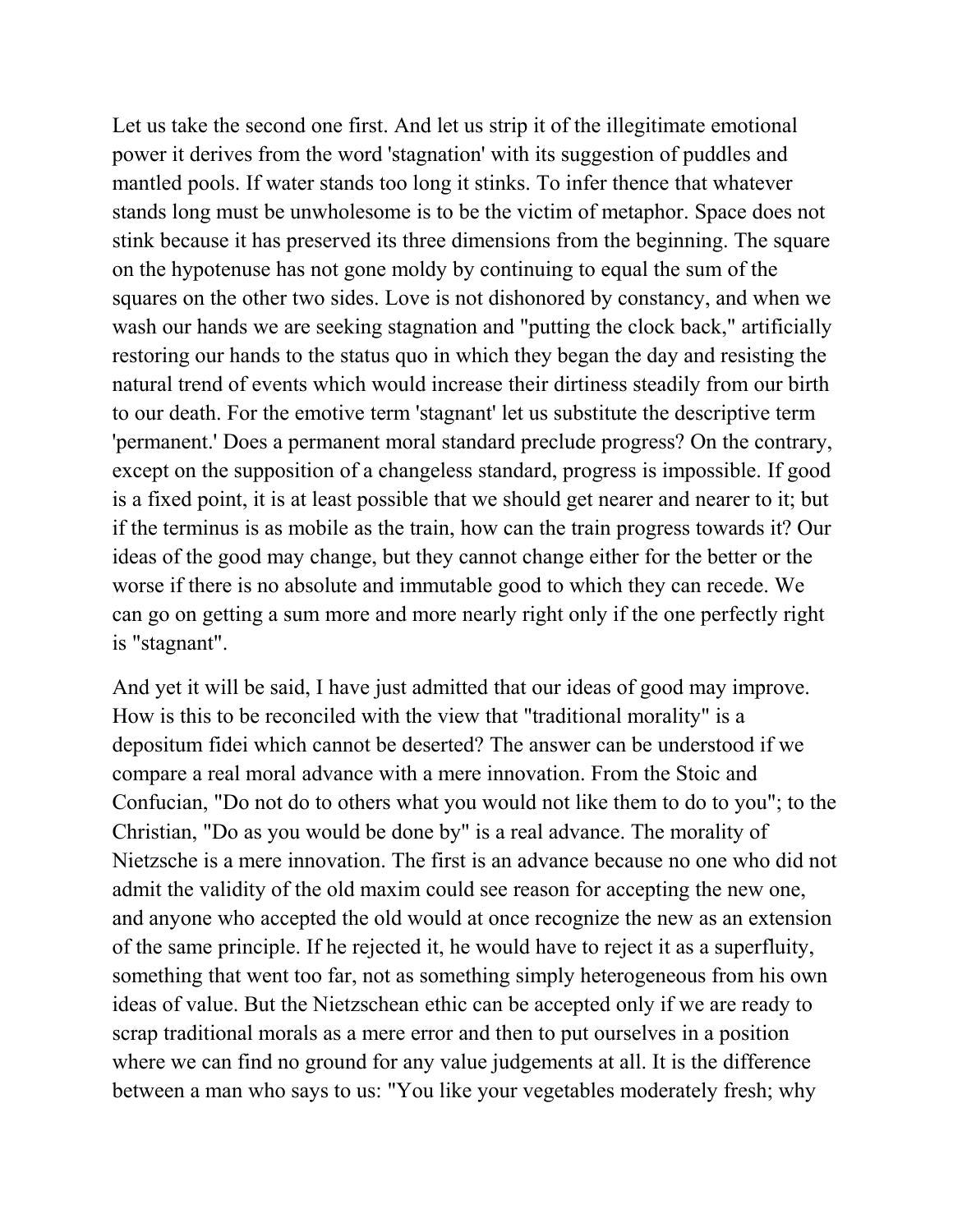Let us take the second one first. And let us strip it of the illegitimate emotional power it derives from the word 'stagnation' with its suggestion of puddles and mantled pools. If water stands too long it stinks. To infer thence that whatever stands long must be unwholesome is to be the victim of metaphor. Space does not stink because it has preserved its three dimensions from the beginning. The square on the hypotenuse has not gone moldy by continuing to equal the sum of the squares on the other two sides. Love is not dishonored by constancy, and when we wash our hands we are seeking stagnation and "putting the clock back," artificially restoring our hands to the status quo in which they began the day and resisting the natural trend of events which would increase their dirtiness steadily from our birth to our death. For the emotive term 'stagnant' let us substitute the descriptive term 'permanent.' Does a permanent moral standard preclude progress? On the contrary, except on the supposition of a changeless standard, progress is impossible. If good is a fixed point, it is at least possible that we should get nearer and nearer to it; but if the terminus is as mobile as the train, how can the train progress towards it? Our ideas of the good may change, but they cannot change either for the better or the worse if there is no absolute and immutable good to which they can recede. We can go on getting a sum more and more nearly right only if the one perfectly right is "stagnant".

And yet it will be said, I have just admitted that our ideas of good may improve. How is this to be reconciled with the view that "traditional morality" is a depositum fidei which cannot be deserted? The answer can be understood if we compare a real moral advance with a mere innovation. From the Stoic and Confucian, "Do not do to others what you would not like them to do to you"; to the Christian, "Do as you would be done by" is a real advance. The morality of Nietzsche is a mere innovation. The first is an advance because no one who did not admit the validity of the old maxim could see reason for accepting the new one, and anyone who accepted the old would at once recognize the new as an extension of the same principle. If he rejected it, he would have to reject it as a superfluity, something that went too far, not as something simply heterogeneous from his own ideas of value. But the Nietzschean ethic can be accepted only if we are ready to scrap traditional morals as a mere error and then to put ourselves in a position where we can find no ground for any value judgements at all. It is the difference between a man who says to us: "You like your vegetables moderately fresh; why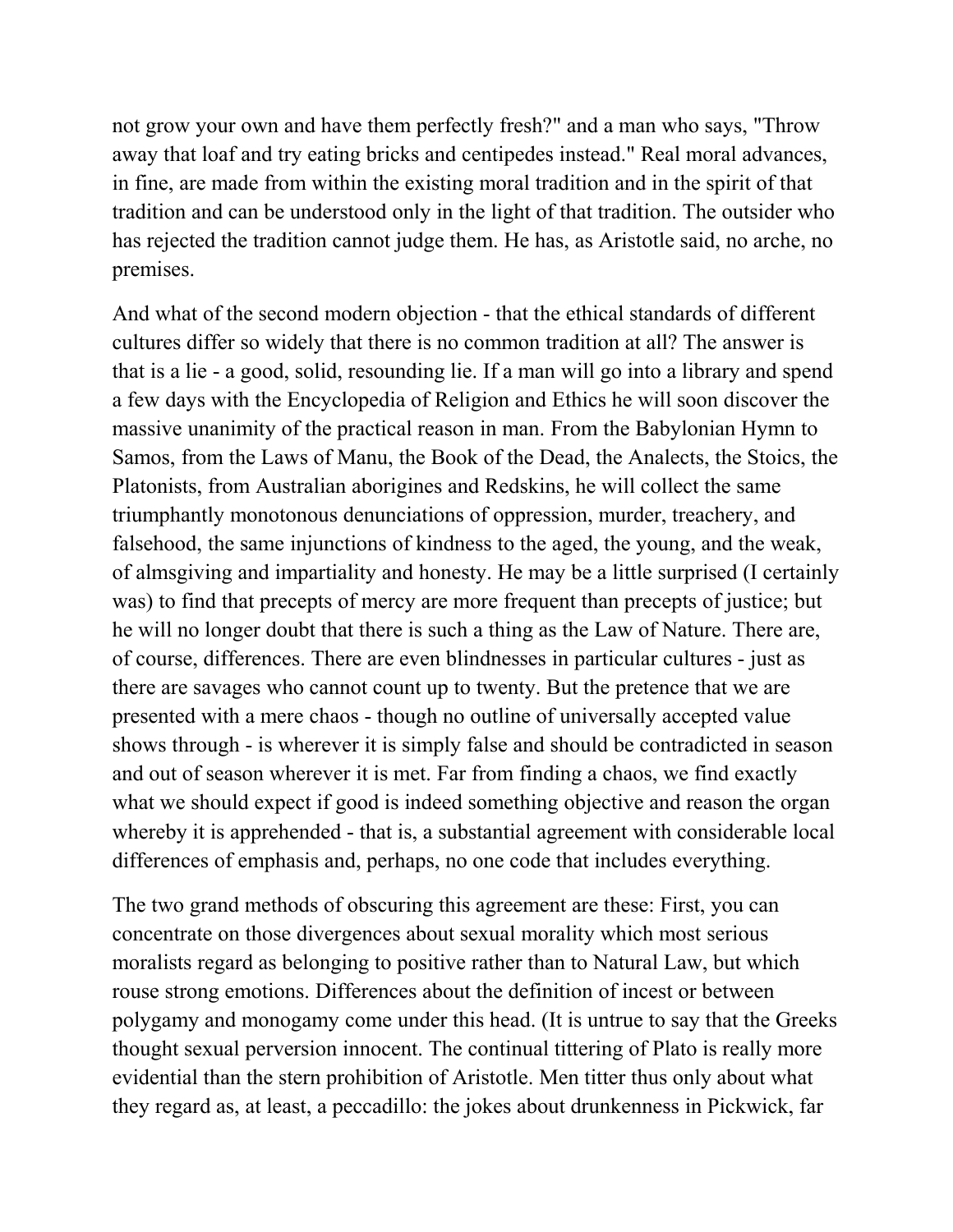not grow your own and have them perfectly fresh?" and a man who says, "Throw away that loaf and try eating bricks and centipedes instead." Real moral advances, in fine, are made from within the existing moral tradition and in the spirit of that tradition and can be understood only in the light of that tradition. The outsider who has rejected the tradition cannot judge them. He has, as Aristotle said, no arche, no premises.

And what of the second modern objection - that the ethical standards of different cultures differ so widely that there is no common tradition at all? The answer is that is a lie - a good, solid, resounding lie. If a man will go into a library and spend a few days with the Encyclopedia of Religion and Ethics he will soon discover the massive unanimity of the practical reason in man. From the Babylonian Hymn to Samos, from the Laws of Manu, the Book of the Dead, the Analects, the Stoics, the Platonists, from Australian aborigines and Redskins, he will collect the same triumphantly monotonous denunciations of oppression, murder, treachery, and falsehood, the same injunctions of kindness to the aged, the young, and the weak, of almsgiving and impartiality and honesty. He may be a little surprised (I certainly was) to find that precepts of mercy are more frequent than precepts of justice; but he will no longer doubt that there is such a thing as the Law of Nature. There are, of course, differences. There are even blindnesses in particular cultures - just as there are savages who cannot count up to twenty. But the pretence that we are presented with a mere chaos - though no outline of universally accepted value shows through - is wherever it is simply false and should be contradicted in season and out of season wherever it is met. Far from finding a chaos, we find exactly what we should expect if good is indeed something objective and reason the organ whereby it is apprehended - that is, a substantial agreement with considerable local differences of emphasis and, perhaps, no one code that includes everything.

The two grand methods of obscuring this agreement are these: First, you can concentrate on those divergences about sexual morality which most serious moralists regard as belonging to positive rather than to Natural Law, but which rouse strong emotions. Differences about the definition of incest or between polygamy and monogamy come under this head. (It is untrue to say that the Greeks thought sexual perversion innocent. The continual tittering of Plato is really more evidential than the stern prohibition of Aristotle. Men titter thus only about what they regard as, at least, a peccadillo: the jokes about drunkenness in Pickwick, far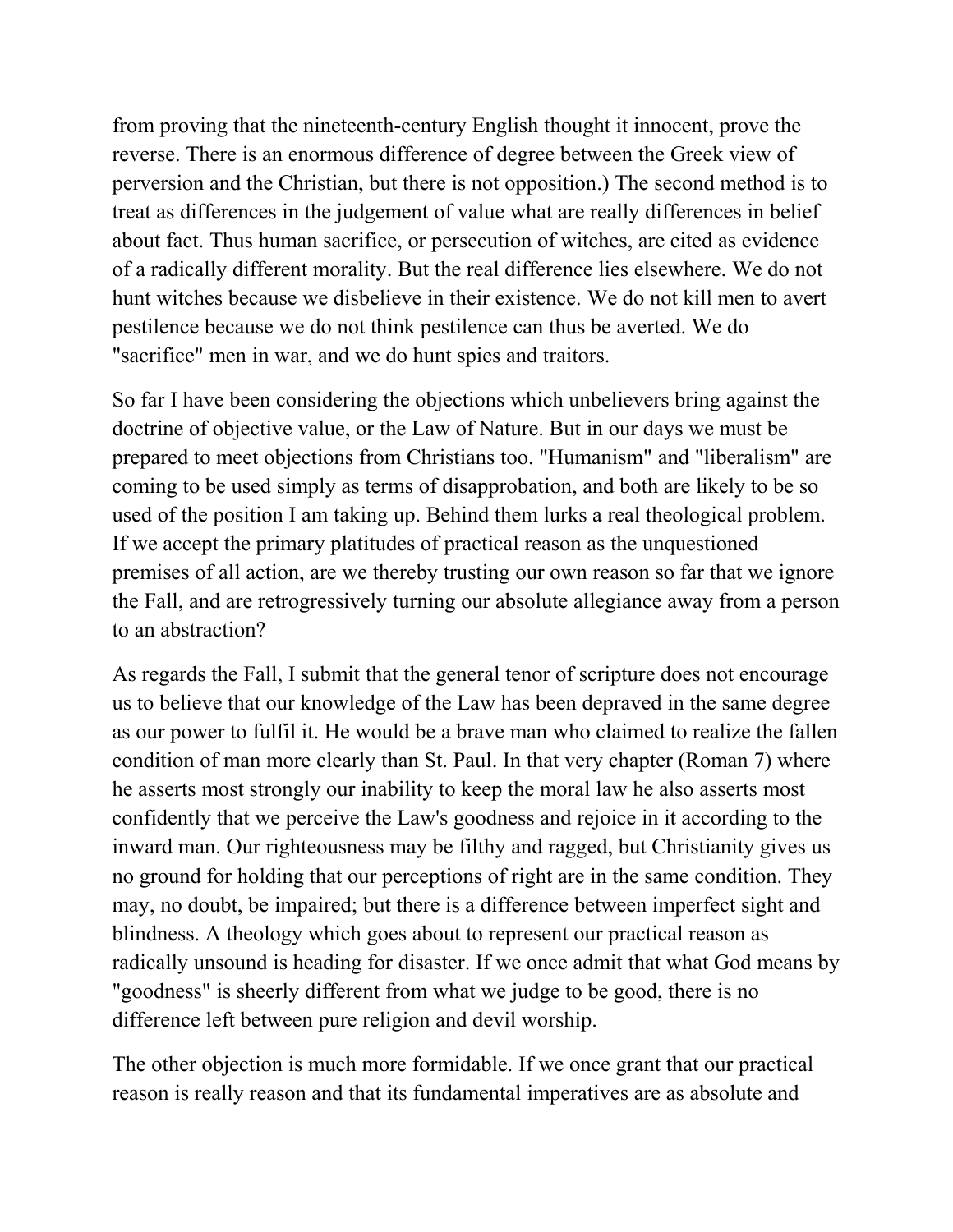from proving that the nineteenth-century English thought it innocent, prove the reverse. There is an enormous difference of degree between the Greek view of perversion and the Christian, but there is not opposition.) The second method is to treat as differences in the judgement of value what are really differences in belief about fact. Thus human sacrifice, or persecution of witches, are cited as evidence of a radically different morality. But the real difference lies elsewhere. We do not hunt witches because we disbelieve in their existence. We do not kill men to avert pestilence because we do not think pestilence can thus be averted. We do "sacrifice" men in war, and we do hunt spies and traitors.

So far I have been considering the objections which unbelievers bring against the doctrine of objective value, or the Law of Nature. But in our days we must be prepared to meet objections from Christians too. "Humanism" and "liberalism" are coming to be used simply as terms of disapprobation, and both are likely to be so used of the position I am taking up. Behind them lurks a real theological problem. If we accept the primary platitudes of practical reason as the unquestioned premises of all action, are we thereby trusting our own reason so far that we ignore the Fall, and are retrogressively turning our absolute allegiance away from a person to an abstraction?

As regards the Fall, I submit that the general tenor of scripture does not encourage us to believe that our knowledge of the Law has been depraved in the same degree as our power to fulfil it. He would be a brave man who claimed to realize the fallen condition of man more clearly than St. Paul. In that very chapter (Roman 7) where he asserts most strongly our inability to keep the moral law he also asserts most confidently that we perceive the Law's goodness and rejoice in it according to the inward man. Our righteousness may be filthy and ragged, but Christianity gives us no ground for holding that our perceptions of right are in the same condition. They may, no doubt, be impaired; but there is a difference between imperfect sight and blindness. A theology which goes about to represent our practical reason as radically unsound is heading for disaster. If we once admit that what God means by "goodness" is sheerly different from what we judge to be good, there is no difference left between pure religion and devil worship.

The other objection is much more formidable. If we once grant that our practical reason is really reason and that its fundamental imperatives are as absolute and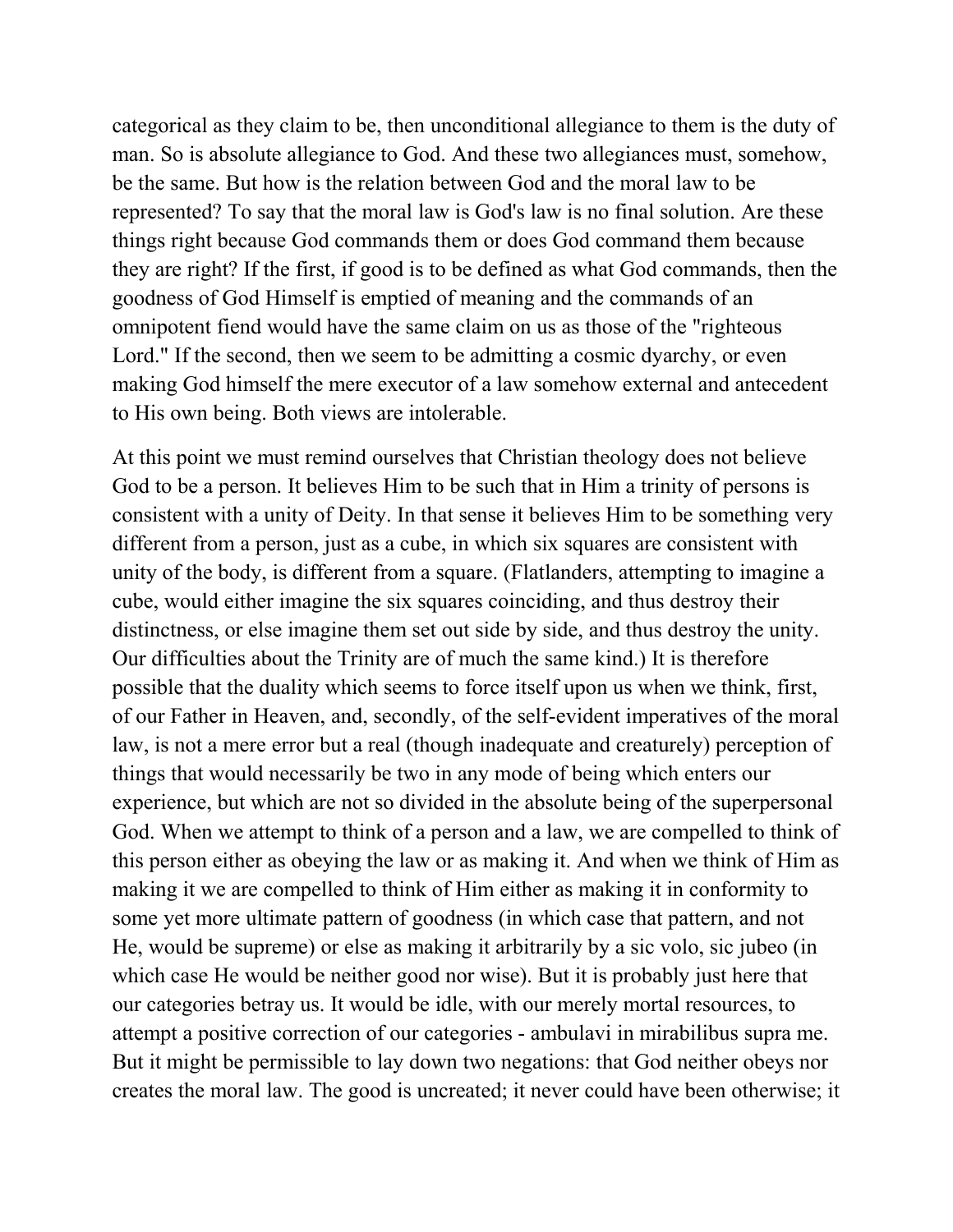categorical as they claim to be, then unconditional allegiance to them is the duty of man. So is absolute allegiance to God. And these two allegiances must, somehow, be the same. But how is the relation between God and the moral law to be represented? To say that the moral law is God's law is no final solution. Are these things right because God commands them or does God command them because they are right? If the first, if good is to be defined as what God commands, then the goodness of God Himself is emptied of meaning and the commands of an omnipotent fiend would have the same claim on us as those of the "righteous Lord." If the second, then we seem to be admitting a cosmic dyarchy, or even making God himself the mere executor of a law somehow external and antecedent to His own being. Both views are intolerable.

At this point we must remind ourselves that Christian theology does not believe God to be a person. It believes Him to be such that in Him a trinity of persons is consistent with a unity of Deity. In that sense it believes Him to be something very different from a person, just as a cube, in which six squares are consistent with unity of the body, is different from a square. (Flatlanders, attempting to imagine a cube, would either imagine the six squares coinciding, and thus destroy their distinctness, or else imagine them set out side by side, and thus destroy the unity. Our difficulties about the Trinity are of much the same kind.) It is therefore possible that the duality which seems to force itself upon us when we think, first, of our Father in Heaven, and, secondly, of the self-evident imperatives of the moral law, is not a mere error but a real (though inadequate and creaturely) perception of things that would necessarily be two in any mode of being which enters our experience, but which are not so divided in the absolute being of the superpersonal God. When we attempt to think of a person and a law, we are compelled to think of this person either as obeying the law or as making it. And when we think of Him as making it we are compelled to think of Him either as making it in conformity to some yet more ultimate pattern of goodness (in which case that pattern, and not He, would be supreme) or else as making it arbitrarily by a sic volo, sic jubeo (in which case He would be neither good nor wise). But it is probably just here that our categories betray us. It would be idle, with our merely mortal resources, to attempt a positive correction of our categories - ambulavi in mirabilibus supra me. But it might be permissible to lay down two negations: that God neither obeys nor creates the moral law. The good is uncreated; it never could have been otherwise; it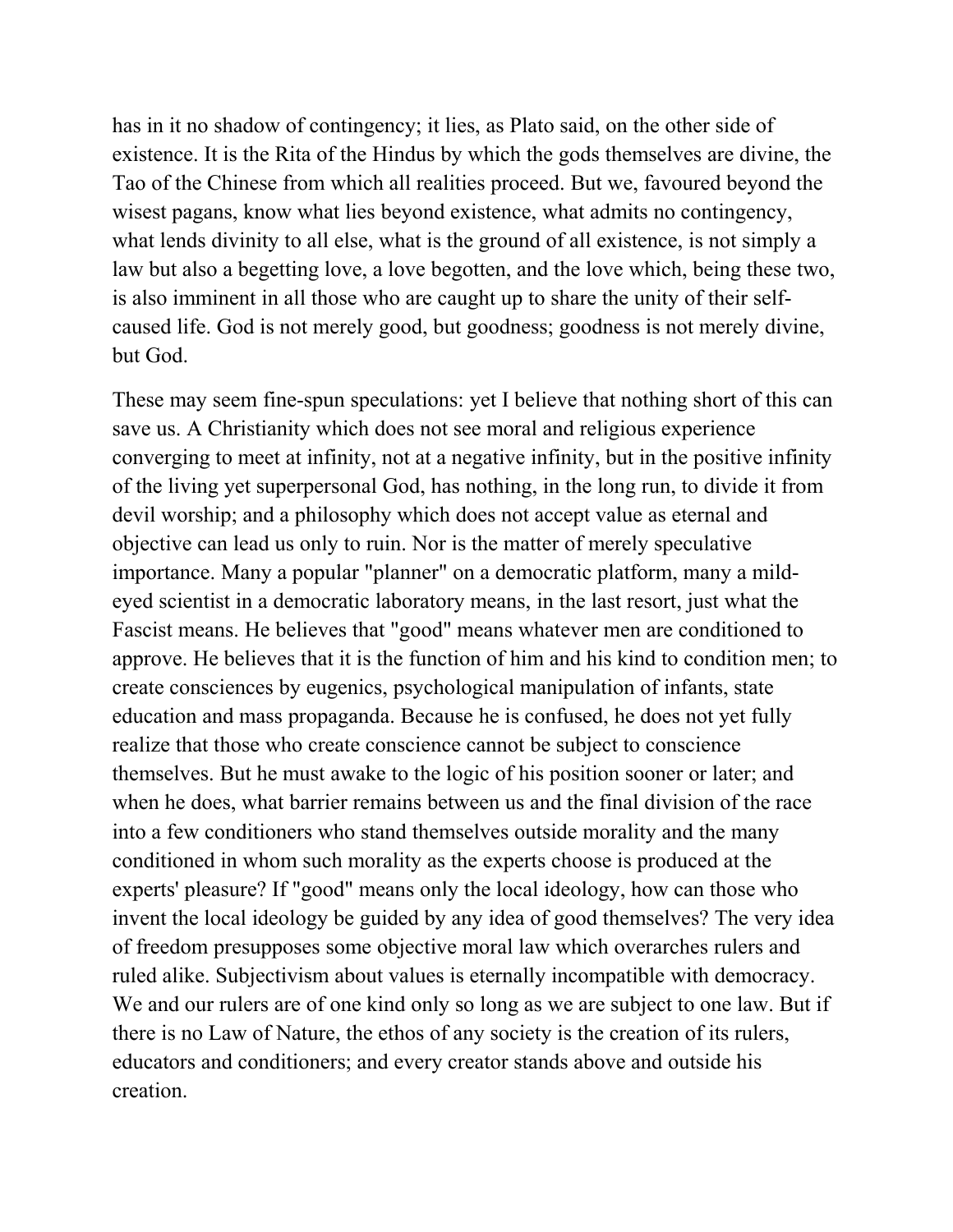has in it no shadow of contingency; it lies, as Plato said, on the other side of existence. It is the Rita of the Hindus by which the gods themselves are divine, the Tao of the Chinese from which all realities proceed. But we, favoured beyond the wisest pagans, know what lies beyond existence, what admits no contingency, what lends divinity to all else, what is the ground of all existence, is not simply a law but also a begetting love, a love begotten, and the love which, being these two, is also imminent in all those who are caught up to share the unity of their selfcaused life. God is not merely good, but goodness; goodness is not merely divine, but God.

These may seem fine-spun speculations: yet I believe that nothing short of this can save us. A Christianity which does not see moral and religious experience converging to meet at infinity, not at a negative infinity, but in the positive infinity of the living yet superpersonal God, has nothing, in the long run, to divide it from devil worship; and a philosophy which does not accept value as eternal and objective can lead us only to ruin. Nor is the matter of merely speculative importance. Many a popular "planner" on a democratic platform, many a mildeyed scientist in a democratic laboratory means, in the last resort, just what the Fascist means. He believes that "good" means whatever men are conditioned to approve. He believes that it is the function of him and his kind to condition men; to create consciences by eugenics, psychological manipulation of infants, state education and mass propaganda. Because he is confused, he does not yet fully realize that those who create conscience cannot be subject to conscience themselves. But he must awake to the logic of his position sooner or later; and when he does, what barrier remains between us and the final division of the race into a few conditioners who stand themselves outside morality and the many conditioned in whom such morality as the experts choose is produced at the experts' pleasure? If "good" means only the local ideology, how can those who invent the local ideology be guided by any idea of good themselves? The very idea of freedom presupposes some objective moral law which overarches rulers and ruled alike. Subjectivism about values is eternally incompatible with democracy. We and our rulers are of one kind only so long as we are subject to one law. But if there is no Law of Nature, the ethos of any society is the creation of its rulers, educators and conditioners; and every creator stands above and outside his creation.